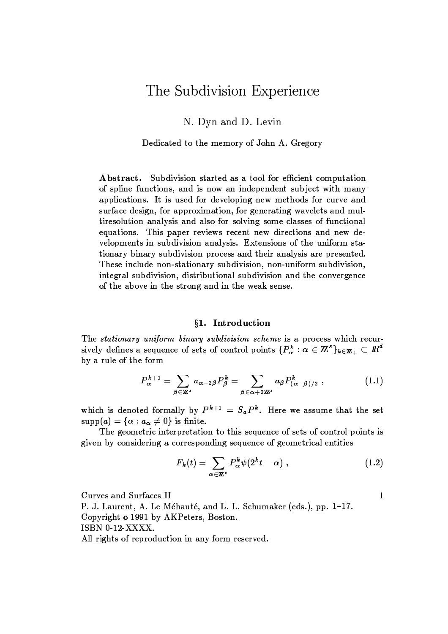# The Subdivision Experience

N. Dyn and D. Levin

Dedicated to the memory of John A. Gregory

Abstract. Subdivision started as a tool for efficient computation of spline functions, and is now an independent subject with many applications. It is used for developing new methods for curve and surface design, for approximation, for generating wavelets and multiresolution analysis and also for solving some classes of functional equations. This paper reviews recent new directions and new developments in subdivision analysis. Extensions of the uniform stationary binary subdivision process and their analysis are presented. These include non-stationary subdivision, non-uniform subdivision, integral subdivision, distributional subdivision and the convergence of the above in the strong and in the weak sense.

#### §1. Introduction

The stationary uniform binary subdivision scheme is a process which recursively defines a sequence of sets of control points  $\{P_{\alpha}^{k} : \alpha \in \mathbb{Z}^{s}\}_{k \in \mathbb{Z}_{+}} \subset \mathbb{R}^{d}$ by a rule of the form

$$
P_{\alpha}^{k+1} = \sum_{\beta \in \mathbb{Z}^*} a_{\alpha-2\beta} P_{\beta}^k = \sum_{\beta \in \alpha+2\mathbb{Z}^*} a_{\beta} P_{(\alpha-\beta)/2}^k,
$$
 (1.1)

which is denoted formally by  $P^{k+1} = S_a P^k$ . Here we assume that the set  $supp(a) = {\alpha : a_{\alpha} \neq 0}$  is finite.

The geometric interpretation to this sequence of sets of control points is given by considering a corresponding sequence of geometrical entities

$$
F_k(t) = \sum_{\alpha \in \mathbb{Z}^s} P_{\alpha}^k \psi(2^k t - \alpha) , \qquad (1.2)
$$

 $\mathbf{1}$ 

Curves and Surfaces II

P. J. Laurent, A. Le Méhauté, and L. L. Schumaker (eds.), pp. 1-17. Copyright o 1991 by AKPeters, Boston. ISBN 0-12-XXXX.

All rights of reproduction in any form reserved.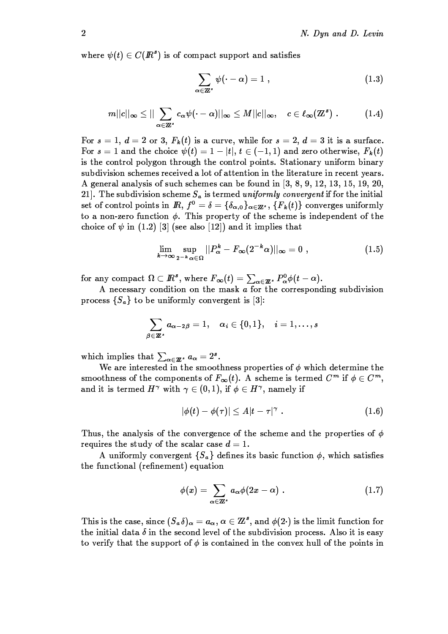where  $\psi(t) \in C(\mathbb{R}^s)$  is of compact support and satisfies

$$
\sum_{\alpha \in \mathbf{Z}^s} \psi(\cdot - \alpha) = 1 \tag{1.3}
$$

$$
m||c||_{\infty} \leq ||\sum_{\alpha \in \mathbb{Z}^s} c_{\alpha}\psi(\cdot - \alpha)||_{\infty} \leq M||c||_{\infty}, \quad c \in \ell_{\infty}(\mathbb{Z}^s) . \tag{1.4}
$$

For  $s = 1$ ,  $d = 2$  or 3,  $F_k(t)$  is a curve, while for  $s = 2$ ,  $d = 3$  it is a surface. For  $s = 1$  and the choice  $\psi(t) = 1 - |t|$ ,  $t \in (-1, 1)$  and zero otherwise,  $F_k(t)$ is the control polygon through the control points. Stationary uniform binary subdivision schemes received a lot of attention in the literature in recent years. A general analysis of such schemes can be found in  $\left[3, 8, 9, 12, 13, 15, 19, 20, \right]$ 21. The subdivision scheme  $S_a$  is termed uniformly convergent if for the initial set of control points in  $\mathbb{R}$ ,  $f^0 = \delta = {\delta_{\alpha,0}}_{\alpha \in \mathbb{Z}^s}$ ,  ${F_k(t)}$  converges uniformly to a non-zero function  $\phi$ . This property of the scheme is independent of the choice of  $\psi$  in (1.2) [3] (see also [12]) and it implies that

$$
\lim_{k \to \infty} \sup_{2^{-k} \alpha \in \Omega} ||P_{\alpha}^{k} - F_{\infty}(2^{-k} \alpha)||_{\infty} = 0 , \qquad (1.5)
$$

for any compact  $\Omega \subset \mathbb{R}^s$ , where  $F_{\infty}(t) = \sum_{\alpha \in \mathbb{Z}^s} P_{\alpha}^0 \phi(t - \alpha)$ .

A necessary condition on the mask  $a$  for the corresponding subdivision process  $\{S_a\}$  to be uniformly convergent is [3]:

$$
\sum_{\beta\in{\bf Z}^s}a_{\alpha-2\beta}=1,\quad \alpha_i\in\{0,1\},\quad i=1,\ldots,s
$$

which implies that  $\sum_{\alpha \in \mathbb{Z}^s} a_{\alpha} = 2^s$ .

We are interested in the smoothness properties of  $\phi$  which determine the smoothness of the components of  $F_{\infty}(t)$ . A scheme is termed  $C^m$  if  $\phi \in C^m$ , and it is termed  $H^{\gamma}$  with  $\gamma \in (0,1)$ , if  $\phi \in H^{\gamma}$ , namely if

$$
|\phi(t) - \phi(\tau)| \le A|t - \tau|^{\gamma} . \tag{1.6}
$$

Thus, the analysis of the convergence of the scheme and the properties of  $\phi$ requires the study of the scalar case  $d=1$ .

A uniformly convergent  $\{S_a\}$  defines its basic function  $\phi$ , which satisfies the functional (refinement) equation

$$
\phi(x) = \sum_{\alpha \in \mathbb{Z}^s} a_{\alpha} \phi(2x - \alpha) \ . \tag{1.7}
$$

This is the case, since  $(S_a \delta)_{\alpha} = a_{\alpha}, \alpha \in \mathbb{Z}^s$ , and  $\phi(2)$  is the limit function for the initial data  $\delta$  in the second level of the subdivision process. Also it is easy to verify that the support of  $\phi$  is contained in the convex hull of the points in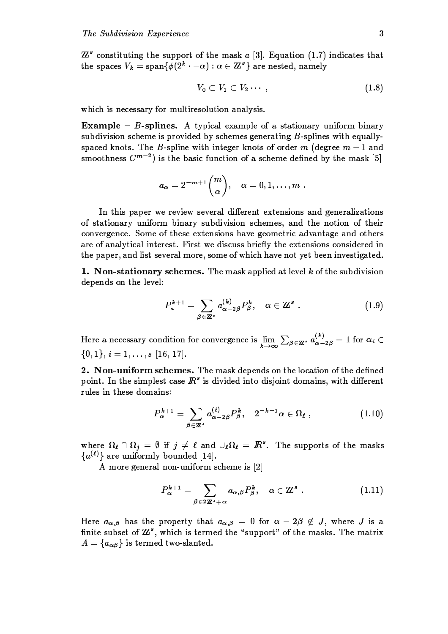$\mathbb{Z}^s$  constituting the support of the mask a [3]. Equation (1.7) indicates that the spaces  $V_k = \text{span}\{\phi(2^k \cdot -\alpha) : \alpha \in \mathbb{Z}^s\}$  are nested, namely

$$
V_0 \subset V_1 \subset V_2 \cdots, \tag{1.8}
$$

which is necessary for multiresolution analysis.

**Example – B-splines.** A typical example of a stationary uniform binary subdivision scheme is provided by schemes generating B-splines with equallyspaced knots. The B-spline with integer knots of order m (degree  $m-1$  and smoothness  $C^{m-2}$  is the basic function of a scheme defined by the mask [5]

$$
a_\alpha=2^{-\,m+1}{m\choose \alpha},\quad \alpha=0,1,\ldots,m
$$

In this paper we review several different extensions and generalizations of stationary uniform binary subdivision schemes, and the notion of their convergence. Some of these extensions have geometric advantage and others are of analytical interest. First we discuss briefly the extensions considered in the paper, and list several more, some of which have not yet been investigated.

1. Non-stationary schemes. The mask applied at level  $k$  of the subdivision depends on the level:

$$
P_a^{k+1} = \sum_{\beta \in \mathbb{Z}^s} a_{\alpha-2\beta}^{(k)} P_\beta^k, \quad \alpha \in \mathbb{Z}^s \ . \tag{1.9}
$$

Here a necessary condition for convergence is  $\lim_{k\to\infty}\sum_{\beta\in\mathbb{Z}^s}a_{\alpha-2\beta}^{(k)}=1$  for  $\alpha_i\in$  $\{0, 1\}, i = 1, \ldots, s$  [16, 17].

2. Non-uniform schemes. The mask depends on the location of the defined point. In the simplest case  $\mathbb{R}^s$  is divided into disjoint domains, with different rules in these domains:

$$
P_{\alpha}^{k+1} = \sum_{\beta \in \mathbb{Z}^s} a_{\alpha-2\beta}^{(\ell)} P_{\beta}^k, \quad 2^{-k-1} \alpha \in \Omega_{\ell} , \qquad (1.10)
$$

where  $\Omega_{\ell} \cap \Omega_j = \emptyset$  if  $j \neq \ell$  and  $\cup_{\ell} \Omega_{\ell} = \mathbb{R}^s$ . The supports of the masks  ${a^{(\ell)}}$  are uniformly bounded [14].

A more general non-uniform scheme is [2]

$$
P_{\alpha}^{k+1} = \sum_{\beta \in 2\mathbb{Z}^s + \alpha} a_{\alpha,\beta} P_{\beta}^k, \quad \alpha \in \mathbb{Z}^s \ . \tag{1.11}
$$

Here  $a_{\alpha,\beta}$  has the property that  $a_{\alpha,\beta} = 0$  for  $\alpha - 2\beta \notin J$ , where J is a finite subset of  $\mathbb{Z}^s$ , which is termed the "support" of the masks. The matrix  $A = \{a_{\alpha\beta}\}\$ is termed two-slanted.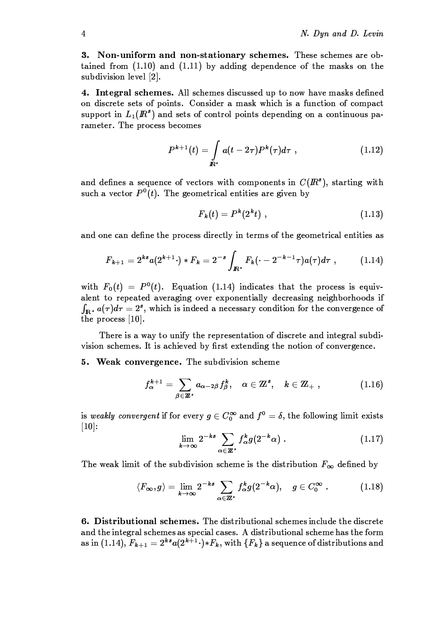3. Non-uniform and non-stationary schemes. These schemes are obtained from  $(1.10)$  and  $(1.11)$  by adding dependence of the masks on the subdivision level [2].

4. Integral schemes. All schemes discussed up to now have masks defined on discrete sets of points. Consider a mask which is a function of compact support in  $L_1(I\!\!R^s)$  and sets of control points depending on a continuous parameter. The process becomes

$$
P^{k+1}(t) = \int_{I\!\!R^s} a(t - 2\tau) P^k(\tau) d\tau , \qquad (1.12)
$$

and defines a sequence of vectors with components in  $C(R<sup>s</sup>)$ , starting with such a vector  $P^{0}(t)$ . The geometrical entities are given by

$$
F_k(t) = P^k(2^k t) , \qquad (1.13)
$$

and one can define the process directly in terms of the geometrical entities as

$$
F_{k+1} = 2^{ks} a(2^{k+1} \cdot) * F_k = 2^{-s} \int_{I\!\!R^s} F_k(\cdot - 2^{-k-1} \tau) a(\tau) d\tau , \qquad (1.14)
$$

with  $F_0(t) = P^0(t)$ . Equation (1.14) indicates that the process is equivalent to repeated averaging over exponentially decreasing neighborhoods if  $\int_{\mathbf{R}^3} a(\tau) d\tau = 2^s$ , which is indeed a necessary condition for the convergence of the process  $[10]$ .

There is a way to unify the representation of discrete and integral subdivision schemes. It is achieved by first extending the notion of convergence.

5. Weak convergence. The subdivision scheme

$$
f_{\alpha}^{k+1} = \sum_{\beta \in \mathbb{Z}^s} a_{\alpha-2\beta} f_{\beta}^k, \quad \alpha \in \mathbb{Z}^s, \quad k \in \mathbb{Z}_+ , \tag{1.16}
$$

is weakly convergent if for every  $g \in C_0^{\infty}$  and  $f^0 = \delta$ , the following limit exists  $[10]$ :

$$
\lim_{k \to \infty} 2^{-ks} \sum_{\alpha \in \mathbb{Z}^s} f_{\alpha}^k g(2^{-k} \alpha) \tag{1.17}
$$

The weak limit of the subdivision scheme is the distribution  $F_{\infty}$  defined by

$$
\langle F_{\infty}, g \rangle = \lim_{k \to \infty} 2^{-ks} \sum_{\alpha \in \mathbb{Z}^s} f_{\alpha}^k g(2^{-k} \alpha), \quad g \in C_0^{\infty} . \tag{1.18}
$$

6. Distributional schemes. The distributional schemes include the discrete and the integral schemes as special cases. A distributional scheme has the form as in (1.14),  $F_{k+1} = 2^{ks} a(2^{k+1} \cdot) * F_k$ , with  $\{F_k\}$  a sequence of distributions and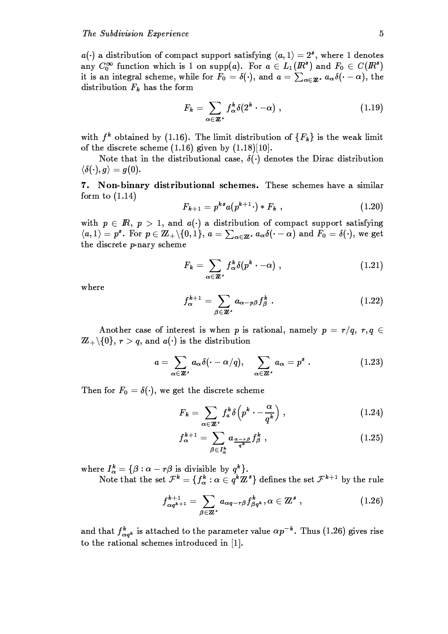$a(\cdot)$  a distribution of compact support satisfying  $\langle a, 1 \rangle = 2^s$ , where 1 denotes any  $C_0^{\infty}$  function which is 1 on supp(a). For  $a \in L_1(\mathbb{R}^s)$  and  $F_0 \in C(\mathbb{R}^s)$ it is an integral scheme, while for  $F_0 = \delta(\cdot)$ , and  $a = \sum_{\alpha \in \mathbb{Z}^s} a_{\alpha} \delta(\cdot - \alpha)$ , the distribution  $F_k$  has the form

$$
F_k = \sum_{\alpha \in \mathbb{Z}^s} f_\alpha^k \delta(2^k \cdot -\alpha) , \qquad (1.19)
$$

with  $f^k$  obtained by (1.16). The limit distribution of  $\{F_k\}$  is the weak limit of the discrete scheme  $(1.16)$  given by  $(1.18)[10]$ .

Note that in the distributional case,  $\delta(\cdot)$  denotes the Dirac distribution  $\langle \delta(\cdot), g \rangle = g(0).$ 

7. Non-binary distributional schemes. These schemes have a similar form to  $(1.14)$ 

$$
F_{k+1} = p^{ks} a(p^{k+1} \cdot) * F_k \t\t(1.20)
$$

with  $p \in \mathbb{R}$ ,  $p > 1$ , and  $a(\cdot)$  a distribution of compact support satisfying  $\langle a,1\rangle = p^s$ . For  $p \in \mathbb{Z}_+\backslash\{0,1\}$ ,  $a = \sum_{\alpha \in \mathbb{Z}^s} a_{\alpha}\delta(\cdot - \alpha)$  and  $F_0 = \delta(\cdot)$ , we get the discrete p-nary scheme

$$
F_k = \sum_{\alpha \in \mathbb{Z}^s} f_\alpha^k \delta(p^k \cdot -\alpha) , \qquad (1.21)
$$

where

$$
f_{\alpha}^{k+1} = \sum_{\beta \in \mathbb{Z}^s} a_{\alpha - p\beta} f_{\beta}^k \qquad (1.22)
$$

Another case of interest is when p is rational, namely  $p = r/q$ ,  $r, q \in$  $\mathbb{Z}_+ \backslash \{0\}, r > q$ , and  $a(\cdot)$  is the distribution

$$
a = \sum_{\alpha \in \mathbb{Z}^s} a_{\alpha} \delta(\cdot - \alpha/q), \quad \sum_{\alpha \in \mathbb{Z}^s} a_{\alpha} = p^s \ . \tag{1.23}
$$

Then for  $F_0 = \delta(\cdot)$ , we get the discrete scheme

$$
F_k = \sum_{\alpha \in \mathbb{Z}^s} f_a^k \delta\left(p^k \cdot - \frac{\alpha}{q^k}\right) , \qquad (1.24)
$$

$$
f_{\alpha}^{k+1} = \sum_{\beta \in I_{\alpha}^k} a_{\frac{\alpha - r\beta}{q^k}} f_{\beta}^k , \qquad (1.25)
$$

where  $I_{\alpha}^{k} = \{\beta : \alpha - r\beta \text{ is divisible by } q^{k}\}.$ <br>Note that the set  $\mathcal{F}^{k} = \{f_{\alpha}^{k} : \alpha \in q^{k}\mathbb{Z}^{s}\}\)$  defines the set  $\mathcal{F}^{k+1}$  by the rule

$$
f_{\alpha q^{k+1}}^{k+1} = \sum_{\beta \in \mathbb{Z}^s} a_{\alpha q - r\beta} f_{\beta q^k}^k, \alpha \in \mathbb{Z}^s , \qquad (1.26)
$$

and that  $f_{\alpha q^k}^k$  is attached to the parameter value  $\alpha p^{-k}$ . Thus (1.26) gives rise to the rational schemes introduced in [1].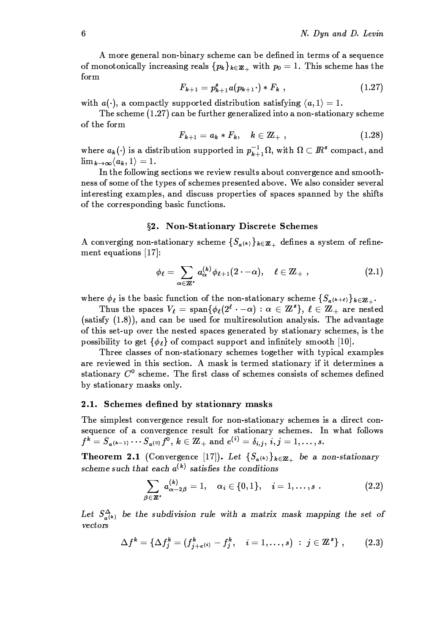A more general non-binary scheme can be defined in terms of a sequence of monotonically increasing reals  $\{p_k\}_{k\in\mathbb{Z}_+}$  with  $p_0=1$ . This scheme has the form

$$
F_{k+1} = p_{k+1}^s a(p_{k+1} \cdot) * F_k \t\t(1.27)
$$

with  $a(\cdot)$ , a compactly supported distribution satisfying  $\langle a, 1 \rangle = 1$ .

The scheme  $(1.27)$  can be further generalized into a non-stationary scheme of the form

$$
F_{k+1} = a_k * F_k, \quad k \in \mathbb{Z}_+ \,\, , \tag{1.28}
$$

where  $a_k(\cdot)$  is a distribution supported in  $p_{k+1}^{-1}\Omega$ , with  $\Omega \subset \mathbb{R}^s$  compact, and  $\lim_{k\to\infty}\langle a_k,1\rangle=1.$ 

In the following sections we review results about convergence and smoothness of some of the types of schemes presented above. We also consider several interesting examples, and discuss properties of spaces spanned by the shifts of the corresponding basic functions.

## §2. Non-Stationary Discrete Schemes

A converging non-stationary scheme  $\{S_{a^{(k)}}\}_{k\in\mathbb{Z}_+}$  defines a system of refinement equations  $[17]$ :

$$
\phi_{\ell} = \sum_{\alpha \in \mathbb{Z}^*} a_{\alpha}^{(k)} \phi_{\ell+1}(2 \cdot -\alpha), \quad \ell \in \mathbb{Z}_+ , \qquad (2.1)
$$

where  $\phi_{\ell}$  is the basic function of the non-stationary scheme  $\{S_{a^{(k+\ell)}}\}_{k\in\mathbb{Z}_+}.$ 

Thus the spaces  $V_{\ell} = \text{span} \{ \phi_{\ell} (2^{\ell} \cdot -\alpha) : \alpha \in \mathbb{Z}^{s} \}, \ell \in \mathbb{Z}_{+}$  are nested (satisfy (1.8)), and can be used for multiresolution analysis. The advantage of this set-up over the nested spaces generated by stationary schemes, is the possibility to get  $\{\phi_{\ell}\}\$  of compact support and infinitely smooth [10].

Three classes of non-stationary schemes together with typical examples are reviewed in this section. A mask is termed stationary if it determines a stationary  $C^0$  scheme. The first class of schemes consists of schemes defined by stationary masks only.

#### Schemes defined by stationary masks  $2.1.$

The simplest convergence result for non-stationary schemes is a direct consequence of a convergence result for stationary schemes. In what follows  $f^k = S_{a^{(k-1)}} \cdots S_{a^{(0)}} f^0, k \in \mathbb{Z}_+$  and  $e^{(i)} = \delta_{i,j}, i, j = 1, \ldots, s.$ 

**Theorem 2.1** (Convergence [17]). Let  $\{S_{a^{(k)}}\}_{k\in\mathbb{Z}_+}$  be a non-stationary scheme such that each  $a^{(k)}$  satisfies the conditions

$$
\sum_{\beta \in \mathbb{Z}^s} a_{\alpha-2\beta}^{(k)} = 1, \quad \alpha_i \in \{0,1\}, \quad i = 1,\ldots,s . \tag{2.2}
$$

Let  $S_{a^{(k)}}^{\Delta}$  be the subdivision rule with a matrix mask mapping the set of vectors

$$
\Delta f^{k} = \{ \Delta f^{k}_{j} = (f^{k}_{j+e^{(i)}} - f^{k}_{j}, \quad i = 1, ..., s) : j \in \mathbb{Z}^{s} \}, \qquad (2.3)
$$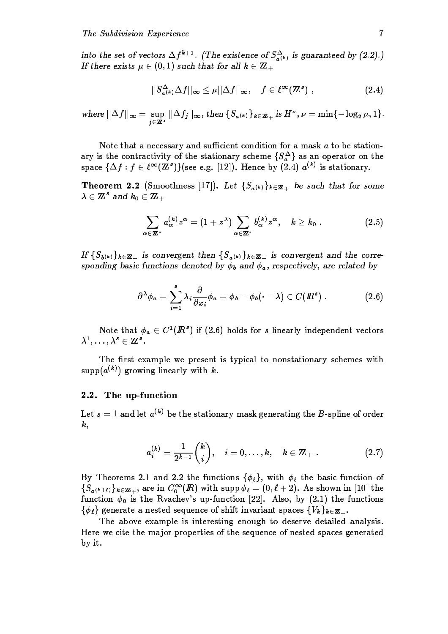into the set of vectors  $\Delta f^{k+1}$ . (The existence of  $S^{\Delta}_{a(k)}$  is guaranteed by (2.2).) If there exists  $\mu \in (0,1)$  such that for all  $k \in \mathbb{Z}_+$ 

$$
||S_{a^{(k)}}^{\Delta} \Delta f||_{\infty} \leq \mu ||\Delta f||_{\infty}, \quad f \in \ell^{\infty}(\mathbb{Z}^{s}), \qquad (2.4)
$$

where 
$$
||\Delta f||_{\infty} = \sup_{j\in\mathbb{Z}^s} ||\Delta f_j||_{\infty}
$$
, then  $\{S_{a^{(k)}}\}_{k\in\mathbb{Z}_+}$  is  $H^{\nu}$ ,  $\nu = \min\{-\log_2 \mu, 1\}$ .

Note that a necessary and sufficient condition for a mask  $a$  to be stationary is the contractivity of the stationary scheme  $\{S_a^{\Delta}\}\$ as an operator on the space  $\{\Delta f: f \in \ell^{\infty}(\mathbb{Z}^{s})\}$  (see e.g. [12]). Hence by (2.4)  $a^{(k)}$  is stationary.

**Theorem 2.2** (Smoothness [17]). Let  $\{S_{a^{(k)}}\}_{k\in\mathbb{Z}_+}$  be such that for some  $\lambda \in \mathbb{Z}^s$  and  $k_0 \in \mathbb{Z}_+$ 

$$
\sum_{\alpha \in \mathbb{Z}^s} a_{\alpha}^{(k)} z^{\alpha} = (1 + z^{\lambda}) \sum_{\alpha \in \mathbb{Z}^s} b_{\alpha}^{(k)} z^{\alpha}, \quad k \geq k_0.
$$
 (2.5)

If  $\{S_{b^{(k)}}\}_{k\in\mathbb{Z}_+}$  is convergent then  $\{S_{a^{(k)}}\}_{k\in\mathbb{Z}_+}$  is convergent and the corresponding basic functions denoted by  $\phi_b$  and  $\phi_a$ , respectively, are related by

$$
\partial^{\lambda} \phi_a = \sum_{i=1}^{s} \lambda_i \frac{\partial}{\partial x_i} \phi_a = \phi_b - \phi_b(\cdot - \lambda) \in C(I\!\!R^s) \ . \tag{2.6}
$$

Note that  $\phi_a \in C^1(\mathbb{R}^s)$  if (2.6) holds for s linearly independent vectors  $\lambda^1,\ldots,\lambda^s\in{\mathbb Z}^s.$ 

The first example we present is typical to nonstationary schemes with supp $(a^{(k)})$  growing linearly with k.

# 2.2. The up-function

Let  $s = 1$  and let  $a^{(k)}$  be the stationary mask generating the B-spline of order  $\boldsymbol{k},$ 

$$
a_i^{(k)} = \frac{1}{2^{k-1}} {k \choose i}, \quad i = 0, \ldots, k, \quad k \in \mathbb{Z}_+ \ . \tag{2.7}
$$

By Theorems 2.1 and 2.2 the functions  $\{\phi_{\ell}\}\$ , with  $\phi_{\ell}$  the basic function of  $\{S_{a^{(k+\ell)}}\}_{k\in\mathbb{Z}_+}$ , are in  $C_0^{\infty}(I\!\! R)$  with supp  $\phi_{\ell}=(0,\ell+2)$ . As shown in [10] the function  $\phi_0$  is the Rvachev's up-function [22]. Also, by (2.1) the functions  $\{\phi_{\ell}\}\$  generate a nested sequence of shift invariant spaces  $\{V_{k}\}_{k\in\mathbb{Z}_{+}}$ .

The above example is interesting enough to deserve detailed analysis. Here we cite the major properties of the sequence of nested spaces generated by it.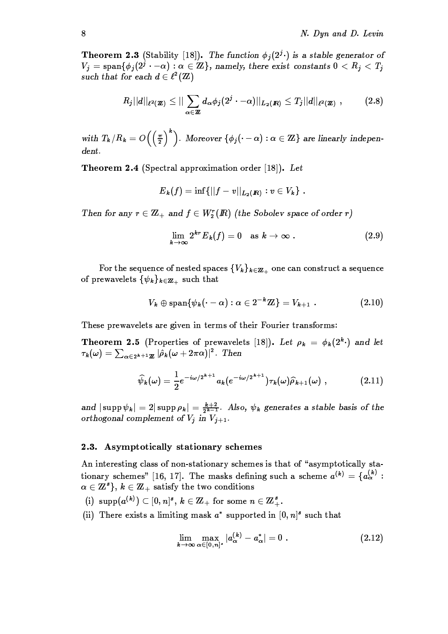**Theorem 2.3** (Stability [18]). The function  $\phi_i(2^i \cdot)$  is a stable generator of  $V_j = \text{span}\{\phi_j(2^j \cdot -\alpha) : \alpha \in \mathbb{Z}\}\$ , namely, there exist constants  $0 < R_j < T_j$ such that for each  $d \in \ell^2(\mathbb{Z})$ 

$$
R_j||d||_{\ell^2(\mathbf{Z})}\leq ||\sum_{\alpha\in\mathbf{Z}}d_\alpha\phi_j(2^j\cdot-\alpha)||_{L_2(\mathbf{R})}\leq T_j||d||_{\ell^2(\mathbf{Z})}, \qquad (2.8)
$$

with  $T_k/R_k = O\left(\left(\frac{\pi}{2}\right)^k\right)$ . Moreover  $\{\phi_j(\cdot-\alpha): \alpha\in \mathbf{Z}\}$  are linearly indepen $dent.$ 

**Theorem 2.4** (Spectral approximation order [18]). Let

$$
{E}_{\pmb k}(f)=\inf\{||f-v||_{{\pmb L}_{{\pmb 2}}({\pmb R})}:v\in V_{\pmb k}\}\,\,.
$$

Then for any  $r \in \mathbb{Z}_+$  and  $f \in W_2^r(\mathbb{R})$  (the Sobolev space of order r)

$$
\lim_{k\to\infty} 2^{kr} E_k(f) = 0 \quad \text{as } k\to\infty . \tag{2.9}
$$

For the sequence of nested spaces  $\{V_k\}_{k\in\mathbb{Z}_+}$  one can construct a sequence of prewavelets  $\{\psi_k\}_{k\in\mathbb{Z}_+}$  such that

$$
V_k \oplus \text{span}\{\psi_k(\cdot - \alpha): \alpha \in 2^{-k}\mathbb{Z}\}=V_{k+1}\ . \hspace{1.5cm} (2.10)
$$

These prewavelets are given in terms of their Fourier transforms:

Theorem 2.5 (Properties of prewavelets [18]). Let  $\rho_k = \phi_k(2^k \cdot)$  and let  $\tau_k(\omega) = \sum_{\alpha \in 2^{k+1}\mathbb{Z}} |\hat{\rho}_k(\omega + 2\pi \alpha)|^2$ . Then

$$
\widehat{\psi}_k(\omega) = \frac{1}{2} e^{-i\omega/2^{k+1}} a_k (e^{-i\omega/2^{k+1}}) \tau_k(\omega) \widehat{\rho}_{k+1}(\omega) , \qquad (2.11)
$$

and  $|\supp \psi_k| = 2|\supp \rho_k| = \frac{k+2}{2^{k-1}}$ . Also,  $\psi_k$  generates a stable basis of the orthogonal complement of  $V_j$  in  $V_{j+1}$ .

#### 2.3. Asymptotically stationary schemes

An interesting class of non-stationary schemes is that of "asymptotically stationary schemes" [16, 17]. The masks defining such a scheme  $a^{(k)} = \{a_{\alpha}^{(k)}\}$ :  $\alpha \in \mathbb{Z}^s$ ,  $k \in \mathbb{Z}_+$  satisfy the two conditions

- (i)  $\text{supp}(a^{(k)}) \subset [0,n]^s, k \in \mathbb{Z}_+$  for some  $n \in \mathbb{Z}_+^s$ .
- (ii) There exists a limiting mask  $a^*$  supported in  $[0, n]^s$  such that

$$
\lim_{k \to \infty} \max_{\alpha \in [0,n]^s} |a_{\alpha}^{(k)} - a_{\alpha}^*| = 0
$$
 (2.12)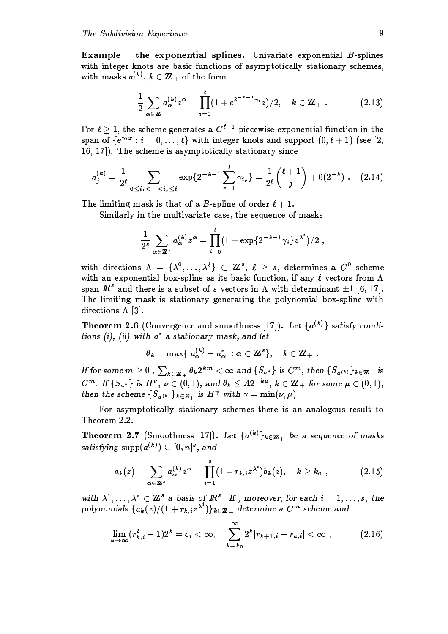**Example** – the exponential splines. Univariate exponential  $B$ -splines with integer knots are basic functions of asymptotically stationary schemes, with masks  $a^{(k)}$ ,  $k \in \mathbb{Z}_+$  of the form

$$
\frac{1}{2}\sum_{\alpha\in\mathbb{Z}}a_{\alpha}^{(k)}z^{\alpha}=\prod_{i=0}^{k}(1+e^{2^{-k-1}\gamma_i}z)/2,\quad k\in\mathbb{Z}_+\ .\hspace{1.5cm} (2.13)
$$

For  $\ell > 1$ , the scheme generates a  $C^{\ell-1}$  piecewise exponential function in the span of  $\{e^{\gamma_i x}: i=0,\ldots,\ell\}$  with integer knots and support  $(0,\ell+1)$  (see [2, 16, 17). The scheme is asymptotically stationary since

$$
a_j^{(k)} = \frac{1}{2^{\ell}} \sum_{0 \leq i_1 < \cdots < i_j \leq \ell} \exp\{2^{-k-1} \sum_{r=1}^j \gamma_{i_r}\} = \frac{1}{2^{\ell}} {\ell + 1 \choose j} + 0(2^{-k}) \ . \tag{2.14}
$$

The limiting mask is that of a B-spline of order  $\ell + 1$ .

Similarly in the multivariate case, the sequence of masks

$$
\frac{1}{2^s}\sum_{\boldsymbol{\alpha}\in\mathbf{Z}^s}a_{\boldsymbol{\alpha}}^{(k)}z^{\boldsymbol{\alpha}}=\prod_{i=0}^{\ell}(1+\exp\{2^{-k-1}\gamma_i\}z^{\lambda^i})/2\;,
$$

with directions  $\Lambda = {\lambda^0, \ldots, \lambda^\ell} \subset \mathbb{Z}^s, \ell \geq s$ , determines a  $C^0$  scheme with an exponential box-spline as its basic function, if any  $\ell$  vectors from  $\Lambda$ span  $\mathbb{R}^s$  and there is a subset of s vectors in  $\Lambda$  with determinant  $\pm 1$  [6, 17]. The limiting mask is stationary generating the polynomial box-spline with directions  $\Lambda$  [3].

**Theorem 2.6** (Convergence and smoothness [17]). Let  $\{a^{(k)}\}$  satisfy conditions (i), (ii) with  $a^*$  a stationary mask, and let

$$
{\theta}_k=\max\{|a_{\alpha}^{(k)}-a_{\alpha}^*|: \alpha\in{\mathbb Z}^s\},\quad k\in{\mathbb Z}_+\ .
$$

If for some  $m \geq 0$ ,  $\sum_{k \in \mathbb{Z}_+} \theta_k 2^{km} < \infty$  and  $\{S_{a^*}\}\$ is  $C^m$ , then  $\{S_{a^{(k)}}\}_{k \in \mathbb{Z}_+}$  is  $C^m$ . If  $\{S_{a^*}\}\$ is  $H^{\nu}$ ,  $\nu \in (0,1)$ , and  $\theta_k \leq A2^{-k\mu}$ ,  $k \in \mathbb{Z}_+$  for some  $\mu \in (0,1)$ , then the scheme  $\{S_{a^{(k)}}\}_{k\in Z_+}$  is  $H^{\gamma}$  with  $\gamma = \min(\nu, \mu)$ .

For asymptotically stationary schemes there is an analogous result to Theorem 2.2.

**Theorem 2.7** (Smoothness [17]). Let  $\{a^{(k)}\}_{k\in\mathbb{Z}_+}$  be a sequence of masks satisfying  $\mathrm{supp}(a^{(k)})\subset [0,n]^s,$  and

$$
a_k(z)=\sum_{\alpha\in\mathbb{Z}^s}a_\alpha^{(k)}z^\alpha=\prod_{i=1}^s(1+r_{k,i}z^{\lambda^i})b_k(z),\quad k\geq k_0\,\,,\qquad \qquad (2.15)
$$

with  $\lambda^1, \ldots, \lambda^s \in \mathbb{Z}^s$  a basis of  $\mathbb{R}^s$ . If, moreover, for each  $i = 1, \ldots, s$ , the polynomials  $\{a_k(z)/(1 + r_{k,i}z^{\lambda^i})\}_{k \in \mathbb{Z}_+}$  determine a  $C^m$  scheme and

$$
\lim_{k \to \infty} (r_{k,i}^2 - 1) 2^k = c_i < \infty, \quad \sum_{k=k_0}^{\infty} 2^k |r_{k+1,i} - r_{k,i}| < \infty , \quad (2.16)
$$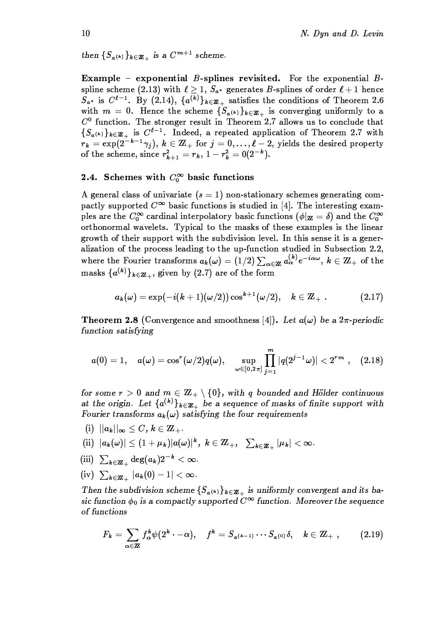then  $\{S_{a^{(k)}}\}_{k\in\mathbb{Z}_+}$  is a  $C^{m+1}$  scheme.

**Example** – exponential  $B$ -splines revisited. For the exponential  $B$ spline scheme (2.13) with  $\ell \geq 1$ ,  $S_{a^*}$  generates B-splines of order  $\ell + 1$  hence  $S_{a^*}$  is  $C^{\ell-1}$ . By (2.14),  $\{a^{(\overline{k})}\}_{k\in\mathbb{Z}_+}$  satisfies the conditions of Theorem 2.6 with  $m = 0$ . Hence the scheme  $\{S_{a^{(k)}}\}_{k \in \mathbb{Z}_+}$  is converging uniformly to a  $C<sup>0</sup>$  function. The stronger result in Theorem 2.7 allows us to conclude that  $\{S_{a^{(k)}}\}_{k\in\mathbb{Z}_+}$  is  $C^{\ell-1}$ . Indeed, a repeated application of Theorem 2.7 with  $r_k = \exp(2^{-k-1}\gamma_j), k \in \mathbb{Z}_+$  for  $j = 0, \ldots, \ell-2$ , yields the desired property<br>of the scheme, since  $r_{k+1}^2 = r_k$ ,  $1 - r_k^2 = 0(2^{-k})$ .

# 2.4. Schemes with  $C_0^{\infty}$  basic functions

A general class of univariate  $(s = 1)$  non-stationary schemes generating compactly supported  $C^{\infty}$  basic functions is studied in [4]. The interesting examples are the  $C_0^{\infty}$  cardinal interpolatory basic functions  $(\phi|_{\mathbf{Z}} = \delta)$  and the  $C_0^{\infty}$ orthonormal wavelets. Typical to the masks of these examples is the linear growth of their support with the subdivision level. In this sense it is a generalization of the process leading to the up-function studied in Subsection 2.2, where the Fourier transforms  $a_k(\omega) = (1/2) \sum_{\alpha \in \mathbb{Z}} a_{\alpha}^{(k)} e^{-i\alpha \omega}$ ,  $k \in \mathbb{Z}_+$  of the masks  $\{a^{(k)}\}_{k\in\mathbb{Z}_+}$ , given by (2.7) are of the form

$$
a_k(\omega) = \exp(-i (k+1) (\omega/2)) \cos^{k+1} (\omega/2), \quad k \in {\hbox{\bf Z}}_+ \; . \eqno(2.17)
$$

**Theorem 2.8** (Convergence and smoothness [4]). Let  $a(\omega)$  be a  $2\pi$ -periodic function satisfying

$$
a(0)=1,\quad a(\omega)=\cos^{r}(\omega/2)q(\omega),\quad \sup_{\omega\in[0,2\pi]}\prod_{j=1}^{m}|q(2^{j-1}\omega)|<2^{rm}\quad ,\quad (2.18)
$$

for some  $r > 0$  and  $m \in \mathbb{Z}_+ \setminus \{0\}$ , with q bounded and Hölder continuous at the origin. Let  $\{a^{(k)}\}_{k\in\mathbb{Z}_+}$  be a sequence of masks of finite support with Fourier transforms  $a_k(\omega)$  satisfying the four requirements

(i)  $||a_k||_{\infty} \leq C, k \in \mathbb{Z}_+$ .

(ii) 
$$
|a_k(\omega)| \leq (1+\mu_k)|a(\omega)|^k
$$
,  $k \in \mathbb{Z}_+$ ,  $\sum_{k \in \mathbb{Z}_+} |\mu_k| < \infty$ .

- (iii)  $\sum_{k \in \mathbb{Z}_+} \deg(a_k) 2^{-k} < \infty$ .
- (iv)  $\sum_{k \in \mathbb{Z}} |a_k(0) 1| < \infty$ .

Then the subdivision scheme  $\{S_{a^{(k)}}\}_{k\in\mathbb{Z}_+}$  is uniformly convergent and its basic function  $\phi_0$  is a compactly supported  $C^{\infty}$  function. Moreover the sequence of functions

$$
F_k=\sum_{\alpha\in\mathbf{Z}}f_\alpha^k\psi(2^k\cdot-\alpha),\quad f^k=S_{a^{(k-1)}}\cdots S_{a^{(0)}}\delta,\quad k\in\mathbf{Z}_+\ ,\qquad \quad \ (2.19)
$$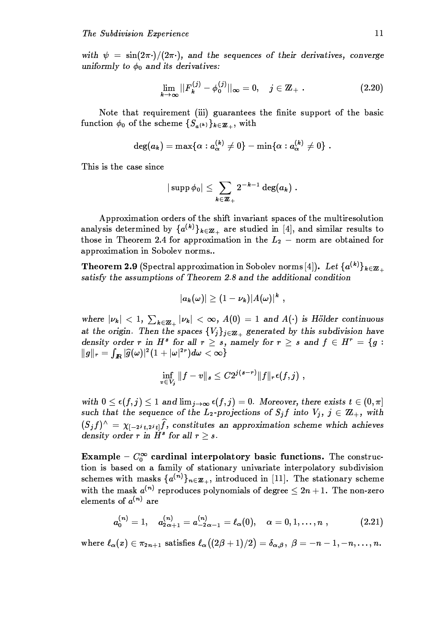with  $\psi = \sin(2\pi \cdot)/(2\pi \cdot)$ , and the sequences of their derivatives, converge uniformly to  $\phi_0$  and its derivatives:

$$
\lim_{k \to \infty} ||F_k^{(j)} - \phi_0^{(j)}||_{\infty} = 0, \quad j \in \mathbb{Z}_+ .
$$
 (2.20)

Note that requirement (iii) guarantees the finite support of the basic function  $\phi_0$  of the scheme  $\{S_{a(k)}\}_{k\in\mathbb{Z}_+}$ , with

$$
\deg(a_k)=\max\{\alpha: a_{\alpha}^{(k)}\neq 0\}-\min\{\alpha: a_{\alpha}^{(k)}\neq 0\} .
$$

This is the case since

$$
|\operatorname{supp}\phi_0|\leq \sum_{k\in{\bf Z}_+}2^{-k-1}\deg(a_k)\;.
$$

Approximation orders of the shift invariant spaces of the multiresolution analysis determined by  $\{a^{(k)}\}_{k\in\mathbb{Z}_+}$  are studied in [4], and similar results to those in Theorem 2.4 for approximation in the  $L_2$  – norm are obtained for approximation in Sobolev norms..

**Theorem 2.9** (Spectral approximation in Sobolev norms [4]). Let  $\{a^{(k)}\}_{k\in\mathbb{Z}_+}$ satisfy the assumptions of Theorem 2.8 and the additional condition

$$
|a_k(\omega)|\geq (1-\nu_k)|A(\omega)|^k\,\,,
$$

where  $|\nu_k|$  < 1,  $\sum_{k \in \mathbb{Z}_+} |\nu_k|$  <  $\infty$ ,  $A(0) = 1$  and  $A(\cdot)$  is Hölder continuous at the origin. Then the spaces  $\{V_j\}_{j\in\mathbb{Z}_+}$  generated by this subdivision have density order r in  $H^s$  for all  $r \geq s$ , namely for  $r \geq s$  and  $f \in H^r = \{g :$  $\|g\|_r = \int_{I\!\!R} |\widehat{g}(\omega)|^2 (1+|\omega|^{2r}) d\omega < \infty\}$ 

$$
\inf_{v\in V_j}\|f-v\|_s\leq C2^{j(s-r)}\|f\|_r\epsilon(f,j)\,\,,
$$

with  $0 \leq \epsilon(f, j) \leq 1$  and  $\lim_{j\to\infty} \epsilon(f, j) = 0$ . Moreover, there exists  $t \in (0, \pi]$ such that the sequence of the  $L_2$ -projections of  $S_j f$  into  $V_j$ ,  $j \in \mathbb{Z}_+$ , with  $(S_i f)^{\wedge} = \chi_{[-2i t, 2i t]} \hat{f}$ , constitutes an approximation scheme which achieves density order r in  $H^s$  for all  $r \geq s$ .

**Example –**  $C_0^{\infty}$  cardinal interpolatory basic functions. The construction is based on a family of stationary univariate interpolatory subdivision schemes with masks  $\{a^{(n)}\}_{n\in\mathbb{Z}_+}$ , introduced in [11]. The stationary scheme with the mask  $a^{(n)}$  reproduces polynomials of degree  $\leq 2n+1$ . The non-zero elements of  $a^{(n)}$  are

$$
a_0^{(n)} = 1, \quad a_{2\alpha+1}^{(n)} = a_{-2\alpha-1}^{(n)} = \ell_\alpha(0), \quad \alpha = 0, 1, \ldots, n \;, \tag{2.21}
$$

where  $\ell_{\alpha}(x) \in \pi_{2n+1}$  satisfies  $\ell_{\alpha}((2\beta+1)/2) = \delta_{\alpha,\beta}, \ \beta = -n-1, -n, \ldots, n$ .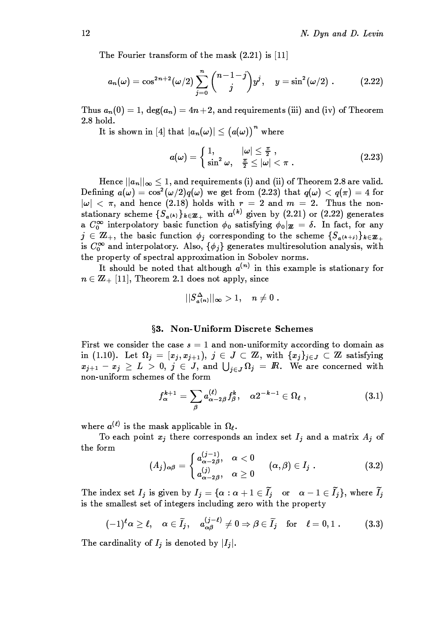The Fourier transform of the mask  $(2.21)$  is  $[11]$ 

$$
a_n(\omega) = \cos^{2n+2}(\omega/2) \sum_{j=0}^n \binom{n-1-j}{j} y^j, \quad y = \sin^2(\omega/2) \ . \tag{2.22}
$$

Thus  $a_n(0) = 1$ ,  $\deg(a_n) = 4n + 2$ , and requirements (iii) and (iv) of Theorem 2.8 hold.

It is shown in [4] that  $|a_n(\omega)| \leq (a(\omega))^n$  where

$$
a(\omega) = \begin{cases} 1, & |\omega| \leq \frac{\pi}{2}, \\ \sin^2 \omega, & \frac{\pi}{2} \leq |\omega| < \pi. \end{cases}
$$
 (2.23)

Hence  $||a_n||_{\infty} \leq 1$ , and requirements (i) and (ii) of Theorem 2.8 are valid. Defining  $a(\omega) = \cos^2(\omega/2)q(\omega)$  we get from (2.23) that  $q(\omega) < q(\pi) = 4$  for  $|\omega|$  <  $\pi$ , and hence (2.18) holds with  $r = 2$  and  $m = 2$ . Thus the nonstationary scheme  $\{S_{a^{(k)}}\}_{k\in\mathbb{Z}_+}$  with  $a^{(k)}$  given by (2.21) or (2.22) generates a  $C_0^{\infty}$  interpolatory basic function  $\phi_0$  satisfying  $\phi_0|_{\mathbb{Z}} = \delta$ . In fact, for any  $j \in \mathbb{Z}_+$ , the basic function  $\phi_j$  corresponding to the scheme  $\{S_{a^{(k+j)}}\}_{k\in\mathbb{Z}_+}$ is  $C_0^{\infty}$  and interpolatory. Also,  $\{\phi_i\}$  generates multiresolution analysis, with the property of spectral approximation in Sobolev norms.

It should be noted that although  $a^{(n)}$  in this example is stationary for  $n \in \mathbb{Z}_+$  [11], Theorem 2.1 does not apply, since

$$
||S_{a^{(n)}}^\Delta||_\infty>1,\quad n\neq 0\,\,.
$$

#### §3. Non-Uniform Discrete Schemes

First we consider the case  $s = 1$  and non-uniformity according to domain as in (1.10). Let  $\Omega_j = [x_j, x_{j+1}), j \in J \subset \mathbb{Z}$ , with  $\{x_j\}_{j \in J} \subset \mathbb{Z}$  satisfying  $x_{i+1} - x_i \geq L > 0$ ,  $j \in J$ , and  $\bigcup_{i \in J} \Omega_i = \mathbb{R}$ . We are concerned with non-uniform schemes of the form

$$
f_{\alpha}^{k+1} = \sum_{\beta} a_{\alpha-2\beta}^{(\ell)} f_{\beta}^k, \quad \alpha 2^{-k-1} \in \Omega_{\ell} , \qquad (3.1)
$$

where  $a^{(\ell)}$  is the mask applicable in  $\Omega_{\ell}$ .

To each point  $x_j$  there corresponds an index set  $I_j$  and a matrix  $A_j$  of the form

$$
(A_j)_{\alpha\beta} = \begin{cases} a_{\alpha-2\beta}^{(j-1)}, & \alpha < 0 \\ a_{\alpha-2\beta}^{(j)}, & \alpha \ge 0 \end{cases} \quad (\alpha, \beta) \in I_j . \tag{3.2}
$$

The index set  $I_j$  is given by  $I_j = \{ \alpha : \alpha + 1 \in \widetilde{I}_j \text{ or } \alpha - 1 \in \widetilde{I}_j \}, \text{ where } \widetilde{I}_j$ is the smallest set of integers including zero with the property

$$
(-1)^{\ell}\alpha \geq \ell, \quad \alpha \in \widetilde{I}_j, \quad a_{\alpha\beta}^{(j-\ell)} \neq 0 \Rightarrow \beta \in \widetilde{I}_j \quad \text{for} \quad \ell = 0, 1. \tag{3.3}
$$

The cardinality of  $I_j$  is denoted by  $|I_j|$ .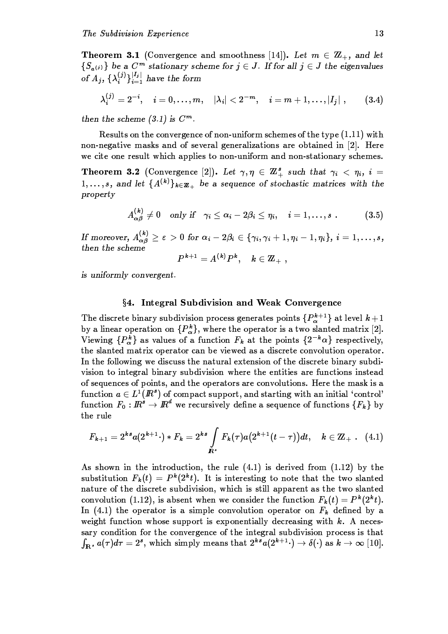**Theorem 3.1** (Convergence and smoothness [14]). Let  $m \in \mathbb{Z}_+$ , and let  $\{S_{a(i)}\}\$ be a  $C^m$  stationary scheme for  $j \in J$ . If for all  $j \in J$  the eigenvalues of  $A_j$ ,  $\{\lambda_i^{(j)}\}_{i=1}^{|I_j|}$  have the form

$$
\lambda_i^{(j)} = 2^{-i}, \quad i = 0, \ldots, m, \quad |\lambda_i| < 2^{-m}, \quad i = m+1, \ldots, |I_j| \;, \tag{3.4}
$$

then the scheme  $(3.1)$  is  $C^m$ .

Results on the convergence of non-uniform schemes of the type  $(1.11)$  with non-negative masks and of several generalizations are obtained in [2]. Here we cite one result which applies to non-uniform and non-stationary schemes.

**Theorem 3.2** (Convergence [2]). Let  $\gamma, \eta \in \mathbb{Z}_{+}^{s}$  such that  $\gamma_i < \eta_i$ ,  $i =$  $1,\ldots,s$ , and let  $\{A^{(k)}\}_{k\in\mathbb{Z}_+}$  be a sequence of stochastic matrices with the property

$$
A_{\alpha\beta}^{(k)} \neq 0 \quad \text{only if} \quad \gamma_i \leq \alpha_i - 2\beta_i \leq \eta_i, \quad i = 1, \ldots, s \; . \tag{3.5}
$$

If moreover,  $A_{\alpha\beta}^{(k)} \ge \varepsilon > 0$  for  $\alpha_i - 2\beta_i \in \{\gamma_i, \gamma_i + 1, \eta_i - 1, \eta_i\}, i = 1, ..., s$ ,<br>then the scheme<br> $P^{k+1} = A^{(k)} P^k$   $h \in \mathcal{T}$ 

$$
P^{\textbf{\textit{k}}+1} = A^{(\textbf{\textit{k}})} P^{\textbf{\textit{k}}}, \quad \textbf{\textit{k}} \in \mathbf{Z}_+ \,\, ,
$$

is uniformly convergent.

## §4. Integral Subdivision and Weak Convergence

The discrete binary subdivision process generates points  $\{P_{\alpha}^{k+1}\}\$  at level  $k+1$ by a linear operation on  $\{P_{\alpha}^{k}\}\text{, where the operator is a two slanted matrix [2].}$ Viewing  $\{P_{\alpha}^{k}\}\$ as values of a function  $F_{k}$  at the points  $\{2^{-k}\alpha\}$  respectively, the slanted matrix operator can be viewed as a discrete convolution operator. In the following we discuss the natural extension of the discrete binary subdivision to integral binary subdivision where the entities are functions instead of sequences of points, and the operators are convolutions. Here the mask is a function  $a \in L^1(\mathbb{R}^s)$  of compact support, and starting with an initial 'control' function  $F_0: \mathbb{R}^s \to \mathbb{R}^d$  we recursively define a sequence of functions  $\{F_k\}$  by the rule

$$
F_{k+1} = 2^{ks} a(2^{k+1} \cdot) * F_k = 2^{ks} \int\limits_{I\!\!R^s} F_k(\tau) a(2^{k+1} (t-\tau)) dt, \quad k \in \mathbb{Z}_+ \ . \quad \text{(4.1)}
$$

As shown in the introduction, the rule (4.1) is derived from (1.12) by the substitution  $F_k(t) = P^k(2^k t)$ . It is interesting to note that the two slanted nature of the discrete subdivision, which is still apparent as the two slanted convolution (1.12), is absent when we consider the function  $F_k(t) = P^k(2^k t)$ . In (4.1) the operator is a simple convolution operator on  $F_k$  defined by a weight function whose support is exponentially decreasing with  $k$ . A necessary condition for the convergence of the integral subdivision process is that  $\int_{\mathbf{R}^s} a(\tau) d\tau = 2^s$ , which simply means that  $2^{ks} a(2^{k+1} \cdot) \to \delta(\cdot)$  as  $k \to \infty$  [10].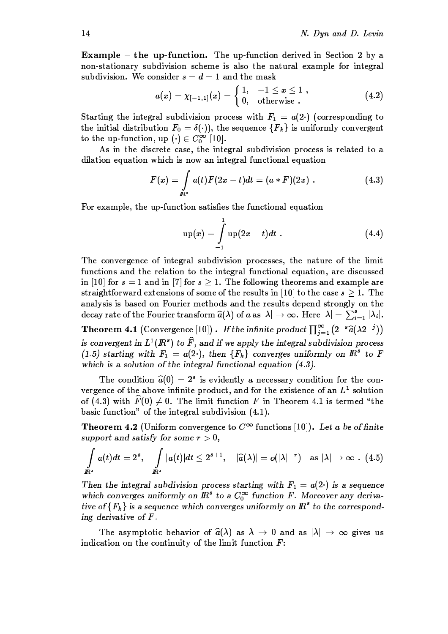**Example** – the up-function. The up-function derived in Section 2 by a non-stationary subdivision scheme is also the natural example for integral subdivision. We consider  $s = d = 1$  and the mask

$$
a(x) = \chi_{[-1,1]}(x) = \begin{cases} 1, & -1 \leq x \leq 1, \\ 0, & \text{otherwise}. \end{cases}
$$
 (4.2)

Starting the integral subdivision process with  $F_1 = a(2)$  (corresponding to the initial distribution  $F_0 = \delta(\cdot)$ , the sequence  $\{F_k\}$  is uniformly convergent to the up-function, up (.)  $\in C_0^{\infty}$  [10].

As in the discrete case, the integral subdivision process is related to a dilation equation which is now an integral functional equation

$$
F(x) = \int_{\mathbb{R}^s} a(t) F(2x - t) dt = (a * F)(2x) . \qquad (4.3)
$$

For example, the up-function satisfies the functional equation

$$
up(x) = \int_{-1}^{1} up(2x - t)dt
$$
 (4.4)

The convergence of integral subdivision processes, the nature of the limit functions and the relation to the integral functional equation, are discussed in [10] for  $s = 1$  and in [7] for  $s \geq 1$ . The following theorems and example are straightforward extensions of some of the results in [10] to the case  $s \geq 1$ . The analysis is based on Fourier methods and the results depend strongly on the decay rate of the Fourier transform  $\hat{a}(\lambda)$  of a as  $|\lambda| \to \infty$ . Here  $|\lambda| = \sum_{i=1}^{s} |\lambda_i|$ . **Theorem 4.1** (Convergence [10]). If the infinite product  $\prod_{j=1}^{\infty} (2^{-s}\widehat{a}(\lambda 2^{-j}))$ 

is convergent in  $L^1(\mathbb{R}^s)$  to  $\widehat{F}$ , and if we apply the integral subdivision process (1.5) starting with  $F_1 = a(2)$ , then  $\{F_k\}$  converges uniformly on  $\mathbb{R}^s$  to F which is a solution of the integral functional equation  $(4.3)$ .

The condition  $\hat{a}(0) = 2^s$  is evidently a necessary condition for the convergence of the above infinite product, and for the existence of an  $L^1$  solution of (4.3) with  $\widehat{F}(0) \neq 0$ . The limit function F in Theorem 4.1 is termed "the basic function" of the integral subdivision  $(4.1)$ .

**Theorem 4.2** (Uniform convergence to  $C^{\infty}$  functions [10]). Let a be of finite support and satisfy for some  $r > 0$ ,

$$
\int\limits_{I\!\!R^s} a(t) dt = 2^s, \quad \int\limits_{I\!\!R^s} |a(t)| dt \leq 2^{s+1}, \quad |\widehat{a}(\lambda)| = o(|\lambda|^{-r}) \quad \text{as } |\lambda| \to \infty \quad (4.5)
$$

Then the integral subdivision process starting with  $F_1 = a(2 \cdot)$  is a sequence which converges uniformly on  $\mathbb{R}^s$  to a  $C_0^{\infty}$  function F. Moreover any derivative of  ${F_k}$  is a sequence which converges uniformly on  $\mathbb{R}^s$  to the corresponding derivative of  $F$ .

The asymptotic behavior of  $\hat{a}(\lambda)$  as  $\lambda \to 0$  and as  $|\lambda| \to \infty$  gives us indication on the continuity of the limit function  $F$ :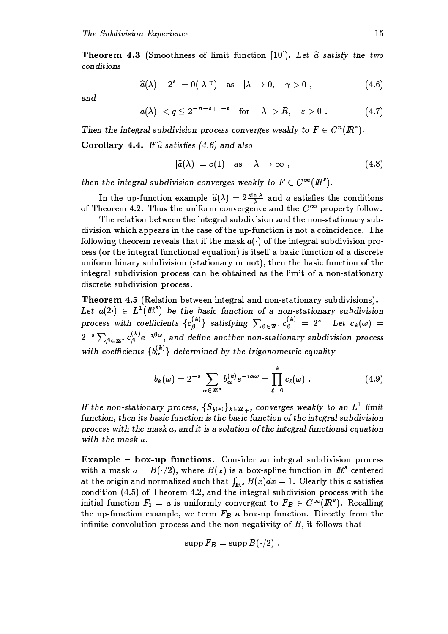**Theorem 4.3** (Smoothness of limit function [10]). Let  $\hat{a}$  satisfy the two conditions

$$
|\widehat{a}(\lambda)-2^s|=0(|\lambda|^\gamma)\quad\text{as}\quad |\lambda|\to 0,\quad \gamma>0\,\,,\qquad \qquad (4.6)
$$

 $and$ 

$$
|a(\lambda)| < q \leq 2^{-n-s+1-\varepsilon} \quad \text{for} \quad |\lambda| > R, \quad \varepsilon > 0 . \tag{4.7}
$$

Then the integral subdivision process converges weakly to  $F \in C^n(\mathbb{R}^s)$ . Corollary 4.4. If  $\hat{a}$  satisfies (4.6) and also

$$
|\widehat{a}(\lambda)| = o(1) \quad \text{as} \quad |\lambda| \to \infty \,\, , \tag{4.8}
$$

then the integral subdivision converges weakly to  $F \in C^{\infty}(I\!\!R^s)$ .

In the up-function example  $\hat{a}(\lambda) = 2 \frac{\sin \lambda}{\lambda}$  and a satisfies the conditions of Theorem 4.2. Thus the uniform convergence and the  $C^{\infty}$  property follow.

The relation between the integral subdivision and the non-stationary subdivision which appears in the case of the up-function is not a coincidence. The following theorem reveals that if the mask  $a(\cdot)$  of the integral subdivision process (or the integral functional equation) is itself a basic function of a discrete uniform binary subdivision (stationary or not), then the basic function of the integral subdivision process can be obtained as the limit of a non-stationary discrete subdivision process.

**Theorem 4.5** (Relation between integral and non-stationary subdivisions). Let  $a(2) \in L^1(\mathbb{R}^s)$  be the basic function of a non-stationary subdivision process with coefficients  ${c_{\beta}^{(k)}}$  satisfying  $\sum_{\beta \in \mathbb{Z}^k} c_{\beta}^{(k)} = 2^s$ . Let  $c_k(\omega) =$  $2^{-s}\sum_{\beta\in\mathbb{Z}^s}c_{\beta}^{(k)}e^{-i\beta\omega}$ , and define another non-stationary subdivision process with coefficients  $\{b_{\alpha}^{(k)}\}$  determined by the trigonometric equality

$$
b_k(\omega) = 2^{-s} \sum_{\alpha \in \mathbb{Z}^s} b_{\alpha}^{(k)} e^{-i\alpha \omega} = \prod_{\ell=0}^k c_{\ell}(\omega) . \qquad (4.9)
$$

If the non-stationary process,  $\{S_{b^{(k)}}\}_{k\in\mathbb{Z}_+}$ , converges weakly to an  $L^1$  limit function, then its basic function is the basic function of the integral subdivision process with the mask  $a$ , and it is a solution of the integral functional equation with the mask a.

Example - box-up functions. Consider an integral subdivision process with a mask  $a = B(\cdot/2)$ , where  $B(x)$  is a box-spline function in  $\mathbb{R}^s$  centered at the origin and normalized such that  $\int_{\mathbb{R}^3} B(x)dx = 1$ . Clearly this a satisfies condition (4.5) of Theorem 4.2, and the integral subdivision process with the initial function  $F_1 = a$  is uniformly convergent to  $F_B \in C^{\infty}(I\!\!R^s)$ . Recalling the up-function example, we term  $F_B$  a box-up function. Directly from the infinite convolution process and the non-negativity of  $B$ , it follows that

$$
\operatorname{supp} F_B=\operatorname{supp} B(\cdot/2)
$$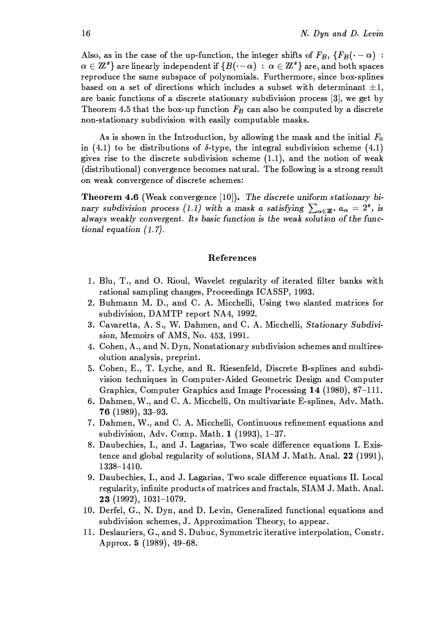Also, as in the case of the up-function, the integer shifts of  $F_B$ ,  $\{F_B(\cdot - \alpha)$ :  $\{\alpha\in\mathbf{Z}^s\}$  are linearly independent if  $\{B(\cdot-\alpha)\ :\ \alpha\in\mathbf{Z}^s\}$  are, and both spaces reproduce the same subspace of polynomials. Furthermore, since box-splines based on a set of directions which includes a subset with determinant  $\pm 1$ , are basic functions of a discrete stationary subdivision process  $[3]$ , we get by Theorem 4.5 that the box-up function  $F_B$  can also be computed by a discrete non-stationary subdivision with easily computable masks.

As is shown in the Introduction, by allowing the mask and the initial  $F_0$ in (4.1) to be distributions of  $\delta$ -type, the integral subdivision scheme (4.1) gives rise to the discrete subdivision scheme  $(1.1)$ , and the notion of weak (distributional) convergence becomes natural. The following is a strong result on weak convergence of discrete schemes:

**Theorem 4.6** (Weak convergence  $[10]$ ). The discrete uniform stationary binary subdivision process (1.1) with a mask a satisfying  $\sum_{\alpha \in \mathbb{Z}^s} a_{\alpha} = 2^s$ , is always weakly convergent. Its basic function is the weak solution of the functional equation  $(1.7)$ .

#### References

- 1. Blu, T., and O. Rioul, Wavelet regularity of iterated filter banks with rational sampling changes, Proceedings ICASSP, 1993.
- 2. Buhmann M. D., and C. A. Micchelli, Using two slanted matrices for subdivision, DAMTP report NA4, 1992.
- 3. Cavaretta, A. S., W. Dahmen, and C. A. Micchelli, Stationary Subdivision, Memoirs of AMS, No. 453, 1991.
- 4. Cohen, A., and N. Dyn, Nonstationary subdivision schemes and multiresolution analysis, preprint.
- 5. Cohen, E., T. Lyche, and R. Riesenfeld, Discrete B-splines and subdivision techniques in Computer-Aided Geometric Design and Computer Graphics, Computer Graphics and Image Processing 14 (1980), 87-111.
- 6. Dahmen, W., and C. A. Micchelli, On multivariate E-splines, Adv. Math.  $76$  (1989), 33-93.
- 7. Dahmen, W., and C. A. Micchelli, Continuous refinement equations and subdivision, Adv. Comp. Math. 1 (1993), 1-37.
- 8. Daubechies, I., and J. Lagarias, Two scale difference equations I. Existence and global regularity of solutions, SIAM J. Math. Anal. 22 (1991), 1338-1410.
- 9. Daubechies, I., and J. Lagarias, Two scale difference equations II. Local regularity, infinite products of matrices and fractals, SIAM J. Math. Anal. 23 (1992), 1031-1079.
- 10. Derfel, G., N. Dyn, and D. Levin, Generalized functional equations and subdivision schemes, J. Approximation Theory, to appear.
- 11. Deslauriers, G., and S. Dubuc, Symmetric iterative interpolation, Constr. Approx.  $5(1989)$ , 49-68.